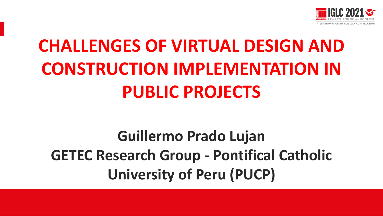

# **CHALLENGES OF VIRTUAL DESIGN AND CONSTRUCTION IMPLEMENTATION IN PUBLIC PROJECTS**

# **Guillermo Prado Lujan GETEC Research Group - Pontifical Catholic University of Peru (PUCP)**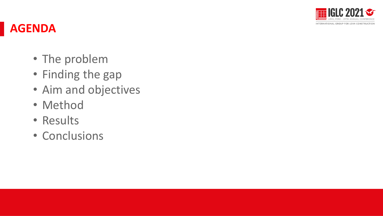

#### **AGENDA**

- The problem
- Finding the gap
- Aim and objectives
- Method
- Results
- Conclusions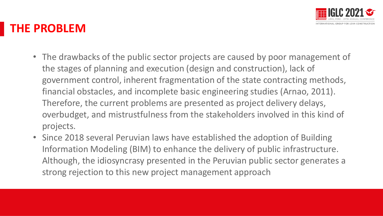

#### **THE PROBLEM**

- The drawbacks of the public sector projects are caused by poor management of the stages of planning and execution (design and construction), lack of government control, inherent fragmentation of the state contracting methods, financial obstacles, and incomplete basic engineering studies (Arnao, 2011). Therefore, the current problems are presented as project delivery delays, overbudget, and mistrustfulness from the stakeholders involved in this kind of projects. ente bedre nordens inverved in enis kind of
- Since 2018 several Peruvian laws have established the adoption of Building Information Modeling (BIM) to enhance the delivery of public infrastructure. Although, the idiosyncrasy presented in the Peruvian public sector generates a strong rejection to this new project management approach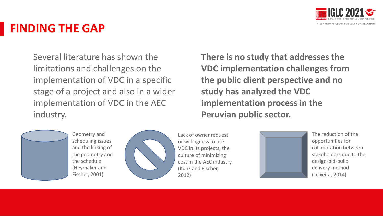

#### **FINDING THE GAP**

Several literature has shown the limitations and challenges on the implementation of VDC in a specific stage of a project and also in a wider implementation of VDC in the AEC industry.



Geometry and scheduling issues, and the linking of the geometry and the schedule (Heymaker and Fischer, 2001)



Lack of owner request or willingness to use VDC in its projects, the culture of minimizing cost in the AEC industry (Kunz and Fischer, 2012)

Presentación presentación presentación el presentación el presentación el presentación el presentación el presentación el presentación el presentación el presentación el presentación el presentación el presentación el pres **There is no study that addresses the VDC implementation challenges from the public client perspective and no study has analyzed the VDC implementation process in the Peruvian public sector.**



The reduction of the opportunities for collaboration between stakeholders due to the design-bid-build delivery method (Teixeira, 2014)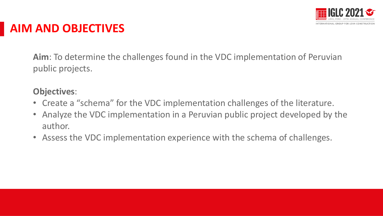

#### **AIM AND OBJECTIVES**

**Aim**: To determine the challenges found in the VDC implementation of Peruvian public projects.

#### **Objectives**:

- Create a "schema" for the VDC implementation challenges of the literature.
- Analyze the VDC implementation in a Peruvian public project developed by the author. eravian papire project acverdpea by the
- Assess the VDC implementation experience with the schema of challenges.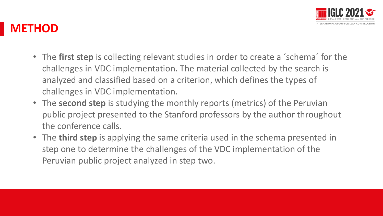

#### **METHOD**

- The **first step** is collecting relevant studies in order to create a ´schema´ for the challenges in VDC implementation. The material collected by the search is analyzed and classified based on a criterion, which defines the types of challenges in VDC implementation.
- The **second step** is studying the monthly reports (metrics) of the Peruvian public project presented to the Stanford professors by the author throughout the conference calls.
- The **third step** is applying the same criteria used in the schema presented in step one to determine the challenges of the VDC implementation of the Peruvian public project analyzed in step two.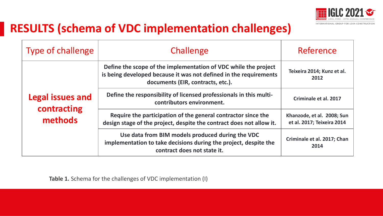

#### **RESULTS (schema of VDC implementation challenges)**

| <b>Type of challenge</b>                          | Challenge                                                                                                                                                                 | Reference                                                |  |  |
|---------------------------------------------------|---------------------------------------------------------------------------------------------------------------------------------------------------------------------------|----------------------------------------------------------|--|--|
| <b>Legal issues and</b><br>contracting<br>methods | Define the scope of the implementation of VDC while the project<br>is being developed because it was not defined in the requirements<br>documents (EIR, contracts, etc.). | Teixeira 2014; Kunz et al.<br>2012                       |  |  |
|                                                   | Define the responsibility of licensed professionals in this multi-<br>contributors environment.                                                                           | Criminale et al. 2017                                    |  |  |
|                                                   | Require the participation of the general contractor since the<br>design stage of the project, despite the contract does not allow it.                                     | Khanzode, et al. 2008; Sun<br>et al. 2017; Teixeira 2014 |  |  |
|                                                   | Use data from BIM models produced during the VDC<br>implementation to take decisions during the project, despite the<br>contract does not state it.                       | Criminale et al. 2017; Chan<br>2014                      |  |  |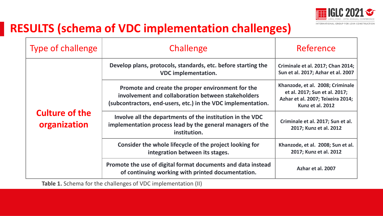

#### **RESULTS (schema of VDC implementation challenges)**

| <b>Type of challenge</b>              | Challenge                                                                                                                                                               | Reference                                                                                                                  |  |  |  |  |
|---------------------------------------|-------------------------------------------------------------------------------------------------------------------------------------------------------------------------|----------------------------------------------------------------------------------------------------------------------------|--|--|--|--|
|                                       | Develop plans, protocols, standards, etc. before starting the<br><b>VDC</b> implementation.                                                                             | Criminale et al. 2017; Chan 2014;<br>Sun et al. 2017; Azhar et al. 2007                                                    |  |  |  |  |
| <b>Culture of the</b><br>organization | Promote and create the proper environment for the<br>involvement and collaboration between stakeholders<br>(subcontractors, end-users, etc.) in the VDC implementation. | Khanzode, et al. 2008; Criminale<br>et al. 2017; Sun et al. 2017;<br>Azhar et al. 2007; Teixeira 2014;<br>Kunz et al. 2012 |  |  |  |  |
|                                       | Involve all the departments of the institution in the VDC<br>implementation process lead by the general managers of the<br>institution.                                 | Criminale et al. 2017; Sun et al.<br>2017; Kunz et al. 2012                                                                |  |  |  |  |
|                                       | Consider the whole lifecycle of the project looking for<br>integration between its stages.                                                                              | Khanzode, et al. 2008; Sun et al.<br>2017; Kunz et al. 2012                                                                |  |  |  |  |
|                                       | Promote the use of digital format documents and data instead<br>of continuing working with printed documentation.                                                       | Azhar et al. 2007                                                                                                          |  |  |  |  |

**Table 1.** Schema for the challenges of VDC implementation (II)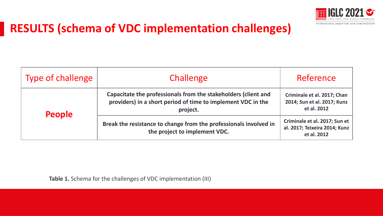

#### **RESULTS (schema of VDC implementation challenges)**

| <b>Type of challenge</b> | Challenge                                                                                                                                  | Reference                                                                     |  |  |  |
|--------------------------|--------------------------------------------------------------------------------------------------------------------------------------------|-------------------------------------------------------------------------------|--|--|--|
| <b>People</b>            | Capacitate the professionals from the stakeholders (client and<br>providers) in a short period of time to implement VDC in the<br>project. | Criminale et al. 2017; Chan<br>2014; Sun et al. 2017; Kunz<br>et al. 2012     |  |  |  |
|                          | Break the resistance to change from the professionals involved in<br>the project to implement VDC.                                         | Criminale et al. 2017; Sun et<br>al. 2017; Teixeira 2014; Kunz<br>et al. 2012 |  |  |  |

**Table 1.** Schema for the challenges of VDC implementation (III)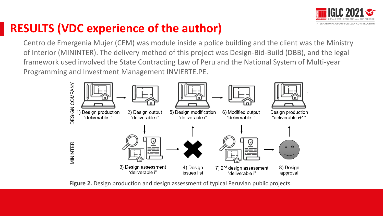

### **RESULTS (VDC experience of the author)**

Centro de Emergenia Mujer (CEM) was module inside a police building and the client was the Ministry of Interior (MININTER). The delivery method of this project was Design-Bid-Build (DBB), and the legal framework used involved the State Contracting Law of Peru and the National System of Multi-year Programming and Investment Management INVIERTE.PE.



Figure 2. Design production and design assessment of typical Peruvian public projects.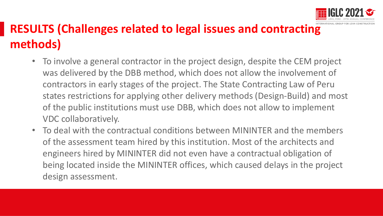

## **RESULTS (Challenges related to legal issues and contracting methods)**

- To involve a general contractor in the project design, despite the CEM project was delivered by the DBB method, which does not allow the involvement of contractors in early stages of the project. The State Contracting Law of Peru states restrictions for applying other delivery methods (Design-Build) and most of the public institutions must use DBB, which does not allow to implement VDC collaboratively.
- To deal with the contractual conditions between MININTER and the members of the assessment team hired by this institution. Most of the architects and engineers hired by MININTER did not even have a contractual obligation of being located inside the MININTER offices, which caused delays in the project design assessment.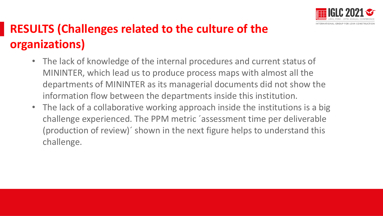

## **RESULTS (Challenges related to the culture of the organizations)**

- The lack of knowledge of the internal procedures and current status of MININTER, which lead us to produce process maps with almost all the departments of MININTER as its managerial documents did not show the information flow between the departments inside this institution.
- The lack of a collaborative working approach inside the institutions is a big challenge experienced. The PPM metric ´assessment time per deliverable (production of review)´ shown in the next figure helps to understand this challenge.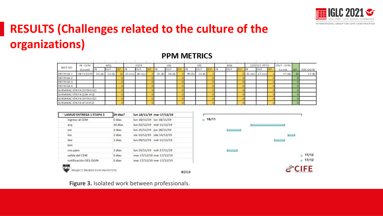

### **RESULTS (Challenges related to the culture of the organizations)**

|                          | $IN - CEM$   |            | ARO       |  | ESTR                  |           | 1155      |        |            |  | BIM |  | COSTO Y PPTO  | OUT - CEM |     |          |
|--------------------------|--------------|------------|-----------|--|-----------------------|-----------|-----------|--------|------------|--|-----|--|---------------|-----------|-----|----------|
| MOTIVO                   | $(C$ coondi) |            | ЮU        |  |                       |           | aur       |        | <b>OUT</b> |  | OUT |  | <b>OUT</b>    | Co ord.   | DIF | OES-OGIN |
| ENTREGA 1                | 18/11/2019   | $01 - 150$ | $13 - 4x$ |  | $25 - mov$ $28 - mov$ | $13 - 46$ | $16 - 5c$ | 09-dic | $11 - 4c$  |  |     |  | 25-nov 27-nov | $17 - 4x$ |     | $17-6c$  |
| ENTREGA 2                |              |            |           |  |                       |           |           |        |            |  |     |  |               |           |     |          |
| ENTREGA 3                |              |            |           |  |                       |           |           |        |            |  |     |  |               |           |     |          |
| ENTREGA 4                |              |            |           |  |                       |           |           |        |            |  |     |  |               |           |     |          |
| SUBSANACIÓN E# (1ERAVEZ) |              |            |           |  |                       |           |           |        |            |  |     |  |               |           |     |          |
| SUBSANACIÓN E# (2DA VEZ) |              |            |           |  |                       |           |           |        |            |  |     |  |               |           |     |          |
| SUBSANACIÓN E# (3ERAVEZ) |              |            |           |  |                       |           |           |        |            |  |     |  |               |           |     |          |
| SUBSANACIÓN E# (4TAVEZ)  |              |            |           |  |                       |           |           |        |            |  |     |  |               |           |     |          |

€2019

#### **PPM METRICS**

| <b>LAMUD ENTREGA 1 ETAPA 3</b> | 29 dias? |                           | lun 18/11/19 mar 17/12/19 |  |
|--------------------------------|----------|---------------------------|---------------------------|--|
| ingreso al CEM                 | 0 días   | lun 18/11/19 lun 18/11/19 |                           |  |
| arq.                           | 10 días  |                           | lun 02/12/19 mié 11/12/19 |  |
| est                            | 4 dias   | lun 25/11/19 jue 28/11/19 |                           |  |
| iiss                           | 2 días   |                           | vie 13/12/19 sáb 14/12/19 |  |
| iiee                           | 3 dias   |                           | lun 09/12/19 mié 11/12/19 |  |
| <b>bim</b>                     |          |                           |                           |  |
| cos.ppto                       | 3 dias   |                           | lun 25/11/19 mié 27/11/19 |  |
| salida del CEM                 | 0 dias   |                           | mar 17/12/19 mar 17/12/19 |  |
| notificación OES.OGIN          | 0 dias   |                           | mar 17/12/19 mar 17/12/19 |  |



**Figure 3.** Isolated work between professionals.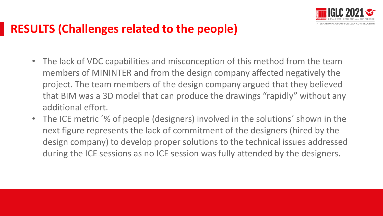

#### **RESULTS (Challenges related to the people)**

- The lack of VDC capabilities and misconception of this method from the team members of MININTER and from the design company affected negatively the project. The team members of the design company argued that they believed that BIM was a 3D model that can produce the drawings "rapidly" without any additional effort.
- The ICE metric '% of people (designers) involved in the solutions' shown in the next figure represents the lack of commitment of the designers (hired by the design company) to develop proper solutions to the technical issues addressed during the ICE sessions as no ICE session was fully attended by the designers.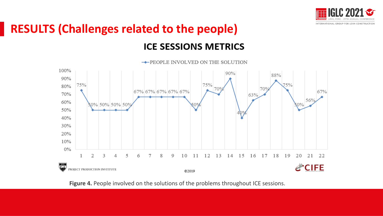

### **RESULTS (Challenges related to the people) ICE SESSIONS METRICS**



**Figure 4.** People involved on the solutions of the problems throughout ICE sessions.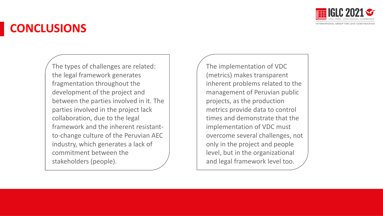

### **CONCLUSIONS**

The types of challenges are related: the legal framework generates fragmentation throughout the development of the project and between the parties involved in it. The parties involved in the project lack collaboration, due to the legal framework and the inherent resistantto-change culture of the Peruvian AEC industry, which generates a lack of commitment between the stakeholders (people).

The implementation of VDC (metrics) makes transparent inherent problems related to the management of Peruvian public projects, as the production metrics provide data to control times and demonstrate that the implementation of VDC must overcome several challenges, not only in the project and people level, but in the organizational and legal framework level too.